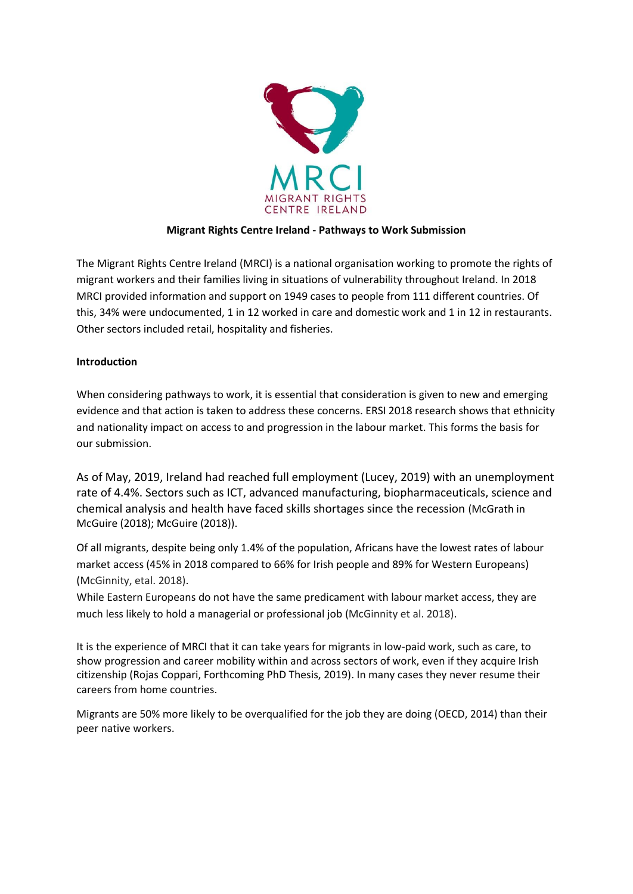

# **Migrant Rights Centre Ireland - Pathways to Work Submission**

The Migrant Rights Centre Ireland (MRCI) is a national organisation working to promote the rights of migrant workers and their families living in situations of vulnerability throughout Ireland. In 2018 MRCI provided information and support on 1949 cases to people from 111 different countries. Of this, 34% were undocumented, 1 in 12 worked in care and domestic work and 1 in 12 in restaurants. Other sectors included retail, hospitality and fisheries.

# **Introduction**

When considering pathways to work, it is essential that consideration is given to new and emerging evidence and that action is taken to address these concerns. ERSI 2018 research shows that ethnicity and nationality impact on access to and progression in the labour market. This forms the basis for our submission.

As of May, 2019, Ireland had reached full employment (Lucey, 2019) with an unemployment rate of 4.4%. Sectors such as ICT, advanced manufacturing, biopharmaceuticals, science and chemical analysis and health have faced skills shortages since the recession (McGrath in McGuire (2018); McGuire (2018)).

Of all migrants, despite being only 1.4% of the population, Africans have the lowest rates of labour market access (45% in 2018 compared to 66% for Irish people and 89% for Western Europeans) (McGinnity, etal. 2018).

While Eastern Europeans do not have the same predicament with labour market access, they are much less likely to hold a managerial or professional job (McGinnity et al. 2018).

It is the experience of MRCI that it can take years for migrants in low-paid work, such as care, to show progression and career mobility within and across sectors of work, even if they acquire Irish citizenship (Rojas Coppari, Forthcoming PhD Thesis, 2019). In many cases they never resume their careers from home countries.

Migrants are 50% more likely to be overqualified for the job they are doing (OECD, 2014) than their peer native workers.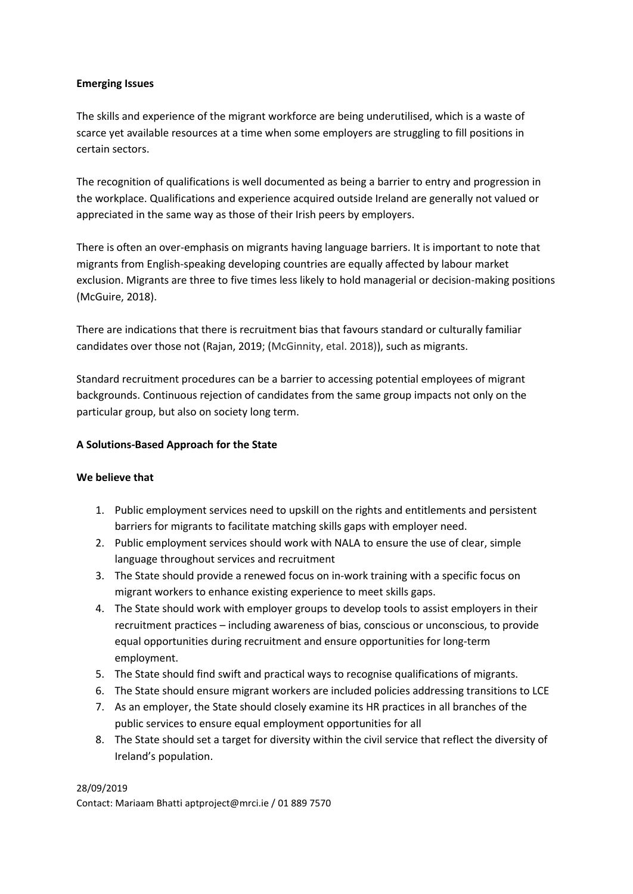### **Emerging Issues**

The skills and experience of the migrant workforce are being underutilised, which is a waste of scarce yet available resources at a time when some employers are struggling to fill positions in certain sectors.

The recognition of qualifications is well documented as being a barrier to entry and progression in the workplace. Qualifications and experience acquired outside Ireland are generally not valued or appreciated in the same way as those of their Irish peers by employers.

There is often an over-emphasis on migrants having language barriers. It is important to note that migrants from English-speaking developing countries are equally affected by labour market exclusion. Migrants are three to five times less likely to hold managerial or decision-making positions (McGuire, 2018).

There are indications that there is recruitment bias that favours standard or culturally familiar candidates over those not (Rajan, 2019; (McGinnity, etal. 2018)), such as migrants.

Standard recruitment procedures can be a barrier to accessing potential employees of migrant backgrounds. Continuous rejection of candidates from the same group impacts not only on the particular group, but also on society long term.

## **A Solutions-Based Approach for the State**

### **We believe that**

- 1. Public employment services need to upskill on the rights and entitlements and persistent barriers for migrants to facilitate matching skills gaps with employer need.
- 2. Public employment services should work with NALA to ensure the use of clear, simple language throughout services and recruitment
- 3. The State should provide a renewed focus on in-work training with a specific focus on migrant workers to enhance existing experience to meet skills gaps.
- 4. The State should work with employer groups to develop tools to assist employers in their recruitment practices – including awareness of bias, conscious or unconscious, to provide equal opportunities during recruitment and ensure opportunities for long-term employment.
- 5. The State should find swift and practical ways to recognise qualifications of migrants.
- 6. The State should ensure migrant workers are included policies addressing transitions to LCE
- 7. As an employer, the State should closely examine its HR practices in all branches of the public services to ensure equal employment opportunities for all
- 8. The State should set a target for diversity within the civil service that reflect the diversity of Ireland's population.

### 28/09/2019

Contact: Mariaam Bhatti aptproject@mrci.ie / 01 889 7570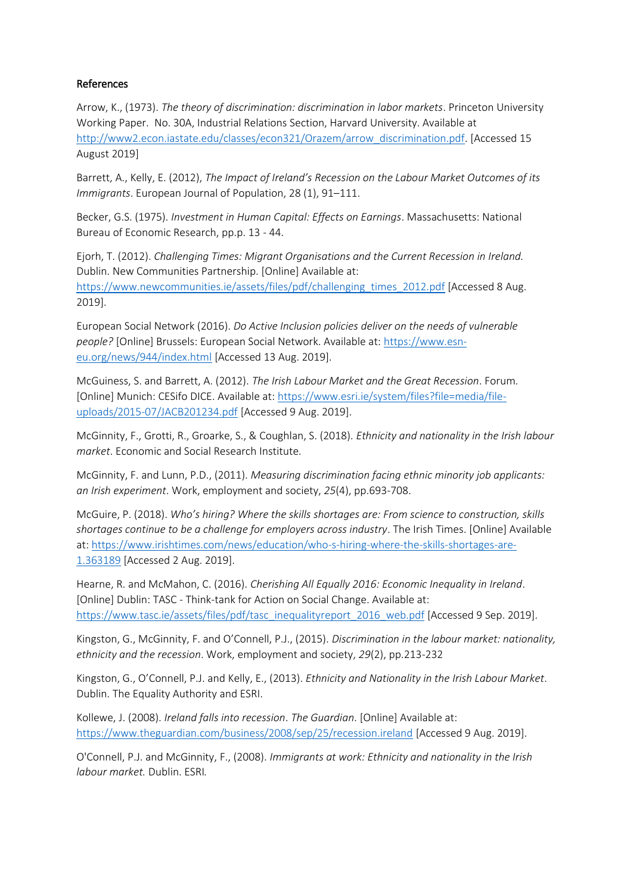## References

Arrow, K., (1973). *The theory of discrimination: discrimination in labor markets*. Princeton University Working Paper. No. 30A, Industrial Relations Section, Harvard University. Available at [http://www2.econ.iastate.edu/classes/econ321/Orazem/arrow\\_discrimination.pdf.](http://www2.econ.iastate.edu/classes/econ321/Orazem/arrow_discrimination.pdf) [Accessed 15 August 2019]

Barrett, A., Kelly, E. (2012), *The Impact of Ireland's Recession on the Labour Market Outcomes of its Immigrants*. European Journal of Population, 28 (1), 91–111.

Becker, G.S. (1975). *Investment in Human Capital: Effects on Earnings*. Massachusetts: National Bureau of Economic Research, pp.p. 13 - 44.

Ejorh, T. (2012). *Challenging Times: Migrant Organisations and the Current Recession in Ireland.* Dublin. New Communities Partnership. [Online] Available at: [https://www.newcommunities.ie/assets/files/pdf/challenging\\_times\\_2012.pdf](https://www.newcommunities.ie/assets/files/pdf/challenging_times_2012.pdf) [Accessed 8 Aug. 2019].

European Social Network (2016). *Do Active Inclusion policies deliver on the needs of vulnerable people?* [Online] Brussels: European Social Network. Available at: [https://www.esn](https://www.esn-eu.org/news/944/index.html)[eu.org/news/944/index.html](https://www.esn-eu.org/news/944/index.html) [Accessed 13 Aug. 2019].

McGuiness, S. and Barrett, A. (2012). *The Irish Labour Market and the Great Recession*. Forum. [Online] Munich: CESifo DICE. Available at: [https://www.esri.ie/system/files?file=media/file](https://www.esri.ie/system/files?file=media/file-uploads/2015-07/JACB201234.pdf)[uploads/2015-07/JACB201234.pdf](https://www.esri.ie/system/files?file=media/file-uploads/2015-07/JACB201234.pdf) [Accessed 9 Aug. 2019].

McGinnity, F., Grotti, R., Groarke, S., & Coughlan, S. (2018). *Ethnicity and nationality in the Irish labour market*. Economic and Social Research Institute.

McGinnity, F. and Lunn, P.D., (2011). *Measuring discrimination facing ethnic minority job applicants: an Irish experiment*. Work, employment and society, *25*(4), pp.693-708.

McGuire, P. (2018). *Who's hiring? Where the skills shortages are: From science to construction, skills shortages continue to be a challenge for employers across industry*. The Irish Times. [Online] Available at: [https://www.irishtimes.com/news/education/who-s-hiring-where-the-skills-shortages-are-](https://www.irishtimes.com/news/education/who-s-hiring-where-the-skills-shortages-are-1.363189)[1.363189](https://www.irishtimes.com/news/education/who-s-hiring-where-the-skills-shortages-are-1.363189) [Accessed 2 Aug. 2019].

Hearne, R. and McMahon, C. (2016). *Cherishing All Equally 2016: Economic Inequality in Ireland*. [Online] Dublin: TASC - Think-tank for Action on Social Change. Available at: [https://www.tasc.ie/assets/files/pdf/tasc\\_inequalityreport\\_2016\\_web.pdf](https://www.tasc.ie/assets/files/pdf/tasc_inequalityreport_2016_web.pdf) [Accessed 9 Sep. 2019].

Kingston, G., McGinnity, F. and O'Connell, P.J., (2015). *Discrimination in the labour market: nationality, ethnicity and the recession*. Work, employment and society, *29*(2), pp.213-232

Kingston, G., O'Connell, P.J. and Kelly, E., (2013). *Ethnicity and Nationality in the Irish Labour Market*. Dublin. The Equality Authority and ESRI.

Kollewe, J. (2008). *Ireland falls into recession*. *The Guardian*. [Online] Available at: <https://www.theguardian.com/business/2008/sep/25/recession.ireland> [Accessed 9 Aug. 2019].

O'Connell, P.J. and McGinnity, F., (2008). *Immigrants at work: Ethnicity and nationality in the Irish labour market.* Dublin. ESRI*.*